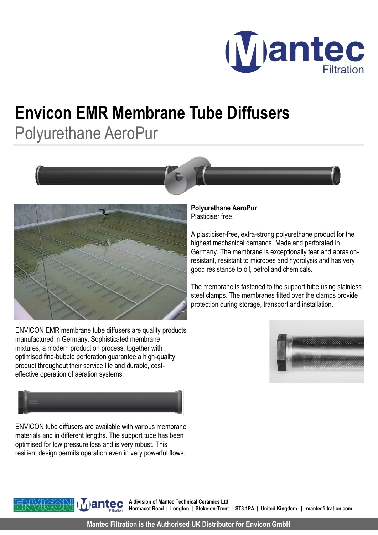

## **Envicon EMR Membrane Tube Diffusers** Polyurethane AeroPur





ENVICON EMR membrane tube diffusers are quality products manufactured in Germany. Sophisticated membrane mixtures, a modern production process, together with optimised fine-bubble perforation guarantee a high-quality product throughout their service life and durable, costeffective operation of aeration systems.



ENVICON tube diffusers are available with various membrane materials and in different lengths. The support tube has been optimised for low pressure loss and is very robust. This resilient design permits operation even in very powerful flows.

**Polyurethane AeroPur**  Plasticiser free.

A plasticiser-free, extra-strong polyurethane product for the highest mechanical demands. Made and perforated in Germany. The membrane is exceptionally tear and abrasionresistant, resistant to microbes and hydrolysis and has very good resistance to oil, petrol and chemicals.

The membrane is fastened to the support tube using stainless steel clamps. The membranes fitted over the clamps provide protection during storage, transport and installation.



**Mantec** 

**A division of Mantec Technical Ceramics Ltd Normacot Road | Longton | Stoke-on-Trent | ST3 1PA | United Kingdom | mantecfiltration.com**